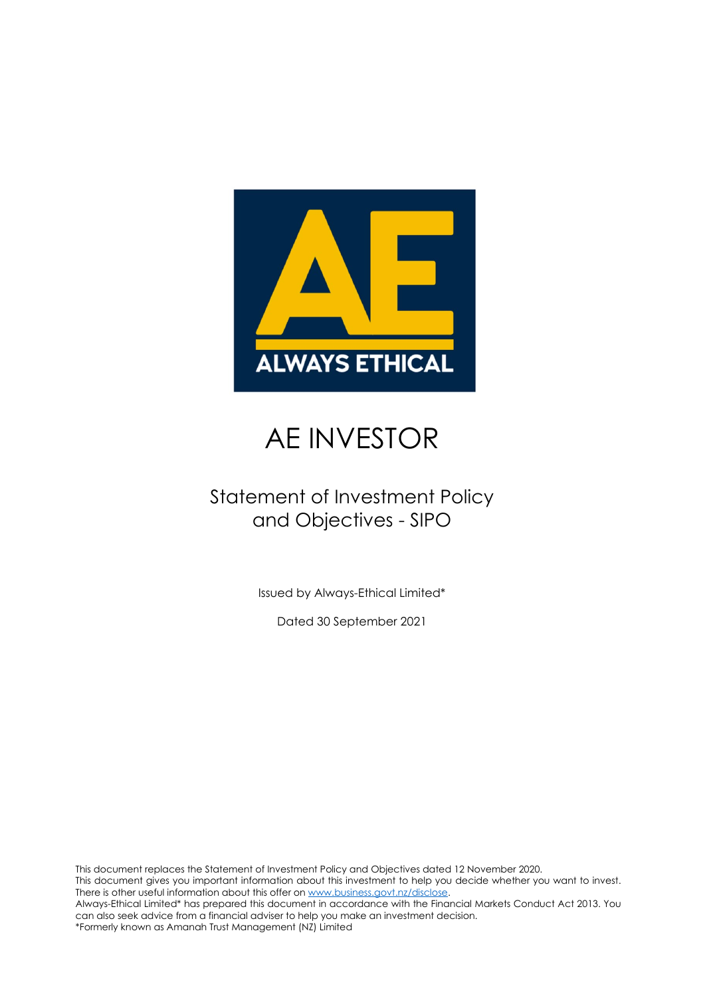

## AE INVESTOR

### Statement of Investment Policy and Objectives - SIPO

Issued by Always-Ethical Limited\*

Dated 30 September 2021

This document replaces the Statement of Investment Policy and Objectives dated 12 November 2020. This document gives you important information about this investment to help you decide whether you want to invest. There is other useful information about this offer o[n www.business.govt.nz/disclose.](http://www.business.govt.nz/disclose) Always-Ethical Limited\* has prepared this document in accordance with the Financial Markets Conduct Act 2013. You can also seek advice from a financial adviser to help you make an investment decision. \*Formerly known as Amanah Trust Management (NZ) Limited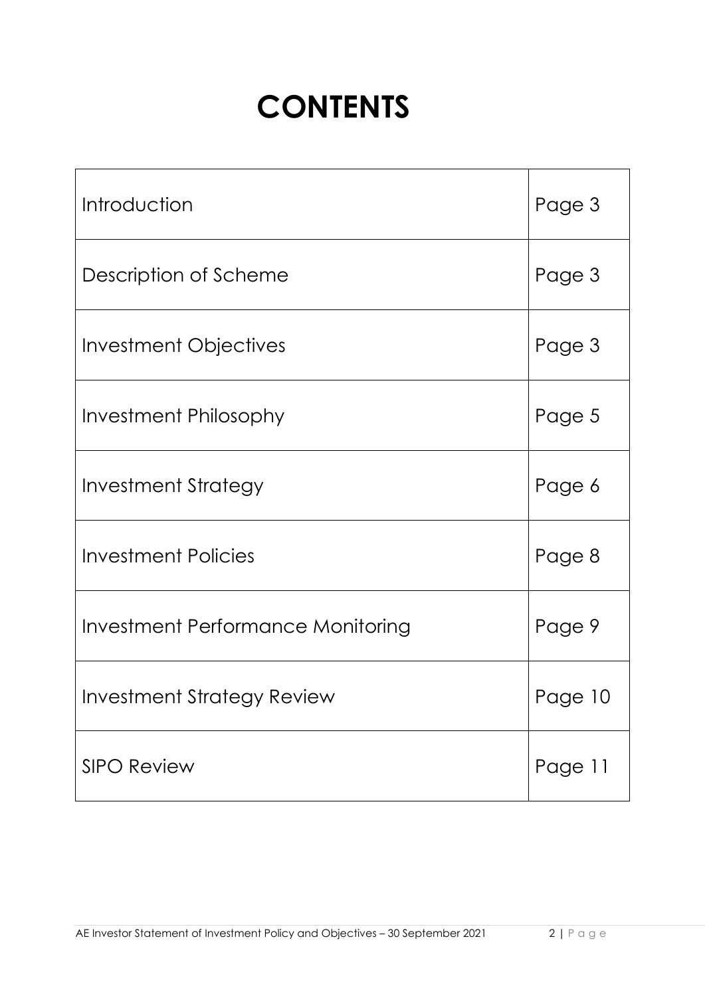# **CONTENTS**

| Introduction                             | Page 3  |
|------------------------------------------|---------|
| Description of Scheme                    | Page 3  |
| Investment Objectives                    | Page 3  |
| <b>Investment Philosophy</b>             | Page 5  |
| <b>Investment Strategy</b>               | Page 6  |
| <b>Investment Policies</b>               | Page 8  |
| <b>Investment Performance Monitoring</b> | Page 9  |
| Investment Strategy Review               | Page 10 |
| <b>SIPO Review</b>                       | Page 11 |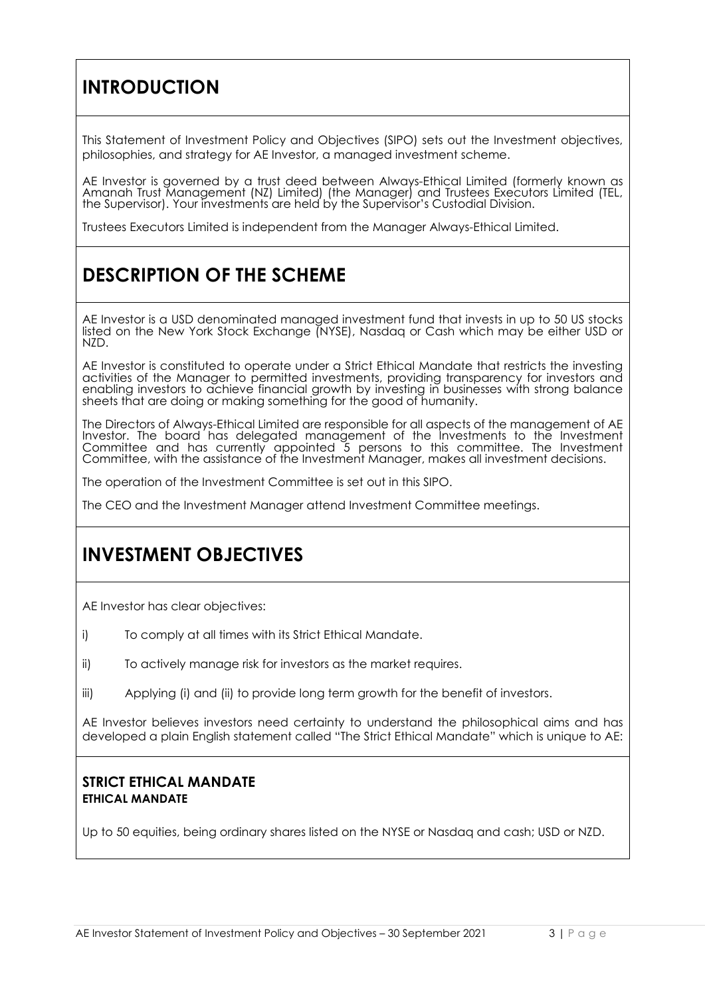### **INTRODUCTION**

This Statement of Investment Policy and Objectives (SIPO) sets out the Investment objectives, philosophies, and strategy for AE Investor, a managed investment scheme.

AE Investor is governed by a trust deed between Always-Ethical Limited (formerly known as Amanah Trust Management (NZ) Limited) (the Manager) and Trustees Executors Limited (TEL, the Supervisor). Your investments are held by the Supervisor's Custodial Division.

Trustees Executors Limited is independent from the Manager Always-Ethical Limited.

### **DESCRIPTION OF THE SCHEME**

AE Investor is a USD denominated managed investment fund that invests in up to 50 US stocks listed on the New York Stock Exchange (NYSE), Nasdaq or Cash which may be either USD or NZD.

AE Investor is constituted to operate under a Strict Ethical Mandate that restricts the investing activities of the Manager to permitted investments, providing transparency for investors and enabling investors to achieve financial growth by investing in businesses with strong balance sheets that are doing or making something for the good of humanity.

The Directors of Always-Ethical Limited are responsible for all aspects of the management of AE Investor. The board has delegated management of the Investments to the Investment Committee and has currently appointed 5 persons to this committee. The Investment Committee, with the assistance of the Investment Manager, makes all investment decisions.

The operation of the Investment Committee is set out in this SIPO.

The CEO and the Investment Manager attend Investment Committee meetings.

### **INVESTMENT OBJECTIVES**

AE Investor has clear objectives:

- i) To comply at all times with its Strict Ethical Mandate.
- ii) To actively manage risk for investors as the market requires.
- iii) Applying (i) and (ii) to provide long term growth for the benefit of investors.

AE Investor believes investors need certainty to understand the philosophical aims and has developed a plain English statement called "The Strict Ethical Mandate" which is unique to AE:

#### **STRICT ETHICAL MANDATE ETHICAL MANDATE**

Up to 50 equities, being ordinary shares listed on the NYSE or Nasdaq and cash; USD or NZD.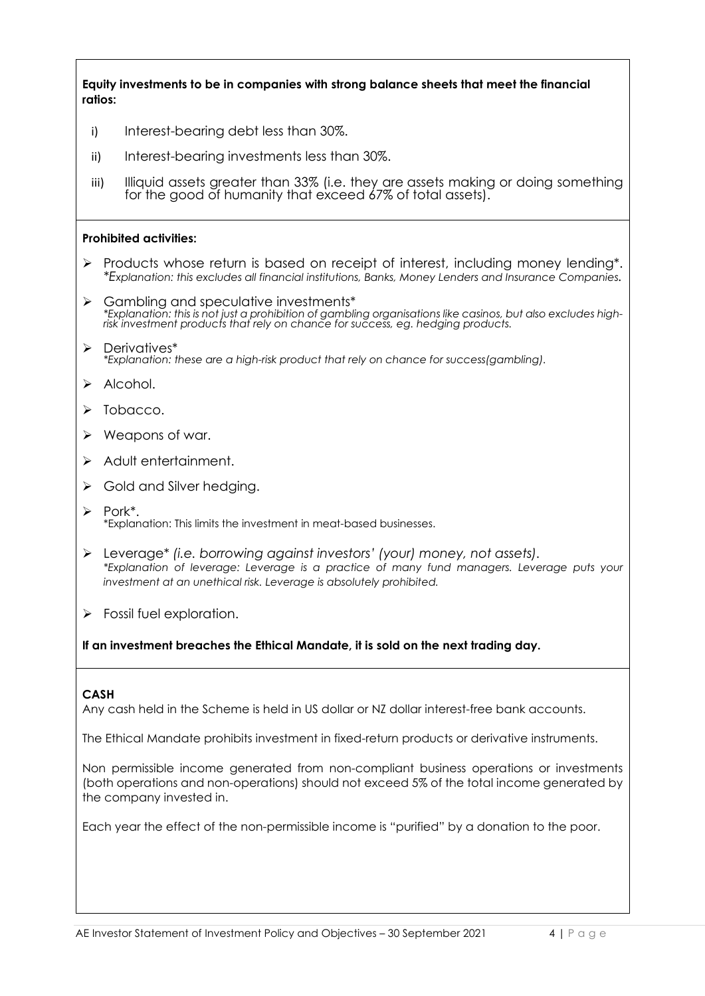**Equity investments to be in companies with strong balance sheets that meet the financial ratios:**

- i) Interest-bearing debt less than 30%.
- ii) Interest-bearing investments less than 30%.
- iii) Illiquid assets greater than 33% (i.e. they are assets making or doing something for the good of humanity that exceed 67% of total assets).

#### **Prohibited activities:**

- $\triangleright$  Products whose return is based on receipt of interest, including money lending\*. *\*Explanation: this excludes all financial institutions, Banks, Money Lenders and Insurance Companies.*
- > Gambling and speculative investments\*<br>\*Explanation: this is not just a prohibition of gambling organisations like casinos, but also excludes high-<br>risk investment products that rely on chance for success, eg. hedging pro
- Derivatives\* *\*Explanation: these are a high-risk product that rely on chance for success(gambling).*
- $\triangleright$  Alcohol.
- $\triangleright$  Tobacco.
- $\triangleright$  Weapons of war.
- > Adult entertainment.
- $\triangleright$  Gold and Silver hedging.
- $\triangleright$  Pork\*. \*Explanation: This limits the investment in meat-based businesses.
- Leverage\* *(i.e. borrowing against investors' (your) money, not assets). \*Explanation of leverage: Leverage is a practice of many fund managers. Leverage puts your investment at an unethical risk. Leverage is absolutely prohibited.*
- $\triangleright$  Fossil fuel exploration.

**If an investment breaches the Ethical Mandate, it is sold on the next trading day.**

#### **CASH**

Any cash held in the Scheme is held in US dollar or NZ dollar interest-free bank accounts.

The Ethical Mandate prohibits investment in fixed-return products or derivative instruments.

Non permissible income generated from non-compliant business operations or investments (both operations and non-operations) should not exceed 5% of the total income generated by the company invested in.

Each year the effect of the non-permissible income is "purified" by a donation to the poor.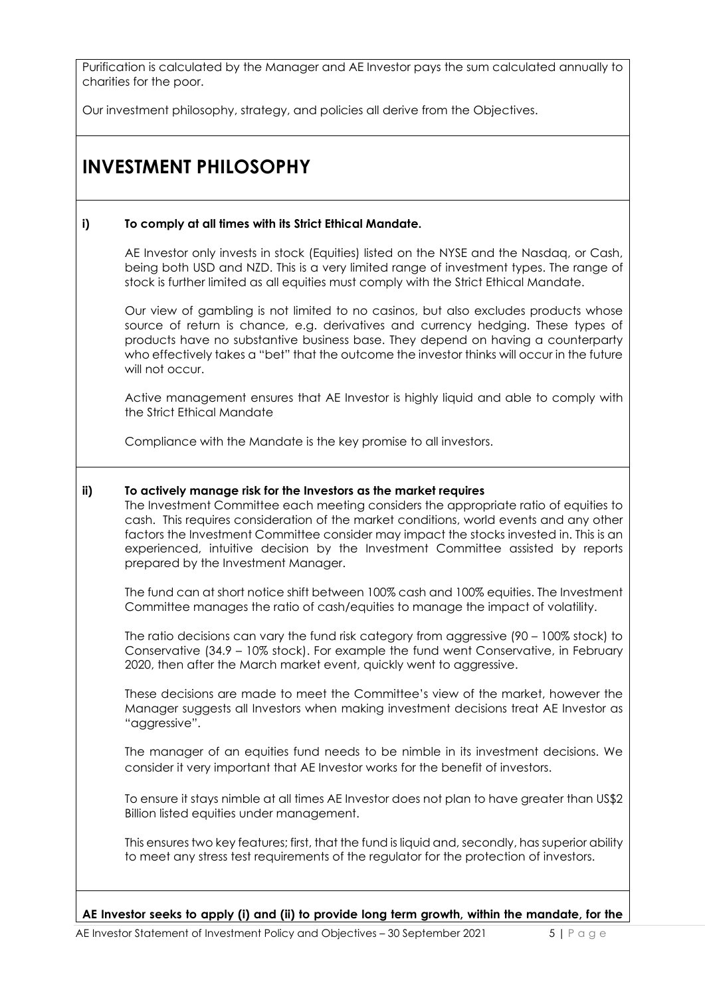Purification is calculated by the Manager and AE Investor pays the sum calculated annually to charities for the poor.

Our investment philosophy, strategy, and policies all derive from the Objectives.

### **INVESTMENT PHILOSOPHY**

#### **i) To comply at all times with its Strict Ethical Mandate.**

AE Investor only invests in stock (Equities) listed on the NYSE and the Nasdaq, or Cash, being both USD and NZD. This is a very limited range of investment types. The range of stock is further limited as all equities must comply with the Strict Ethical Mandate.

Our view of gambling is not limited to no casinos, but also excludes products whose source of return is chance, e.g. derivatives and currency hedging. These types of products have no substantive business base. They depend on having a counterparty who effectively takes a "bet" that the outcome the investor thinks will occur in the future will not occur.

Active management ensures that AE Investor is highly liquid and able to comply with the Strict Ethical Mandate

Compliance with the Mandate is the key promise to all investors.

#### **ii) To actively manage risk for the Investors as the market requires**

The Investment Committee each meeting considers the appropriate ratio of equities to cash. This requires consideration of the market conditions, world events and any other factors the Investment Committee consider may impact the stocks invested in. This is an experienced, intuitive decision by the Investment Committee assisted by reports prepared by the Investment Manager.

The fund can at short notice shift between 100% cash and 100% equities. The Investment Committee manages the ratio of cash/equities to manage the impact of volatility.

The ratio decisions can vary the fund risk category from aggressive (90 – 100% stock) to Conservative (34.9 – 10% stock). For example the fund went Conservative, in February 2020, then after the March market event, quickly went to aggressive.

These decisions are made to meet the Committee's view of the market, however the Manager suggests all Investors when making investment decisions treat AE Investor as "aggressive".

The manager of an equities fund needs to be nimble in its investment decisions. We consider it very important that AE Investor works for the benefit of investors.

To ensure it stays nimble at all times AE Investor does not plan to have greater than US\$2 Billion listed equities under management.

This ensures two key features; first, that the fund is liquid and, secondly, has superior ability to meet any stress test requirements of the regulator for the protection of investors.

**AE Investor seeks to apply (i) and (ii) to provide long term growth, within the mandate, for the**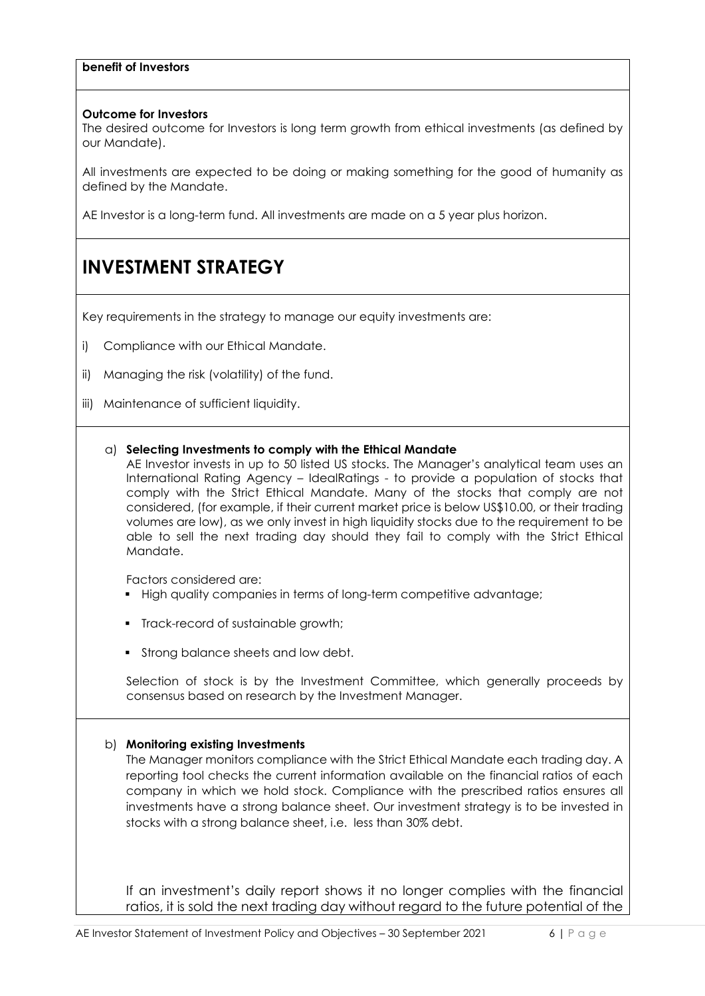#### **benefit of Investors**

#### **Outcome for Investors**

The desired outcome for Investors is long term growth from ethical investments (as defined by our Mandate).

All investments are expected to be doing or making something for the good of humanity as defined by the Mandate.

AE Investor is a long-term fund. All investments are made on a 5 year plus horizon.

### **INVESTMENT STRATEGY**

Key requirements in the strategy to manage our equity investments are:

- i) Compliance with our Ethical Mandate.
- ii) Managing the risk (volatility) of the fund.
- iii) Maintenance of sufficient liquidity.

#### a) **Selecting Investments to comply with the Ethical Mandate**

AE Investor invests in up to 50 listed US stocks. The Manager's analytical team uses an International Rating Agency – IdealRatings - to provide a population of stocks that comply with the Strict Ethical Mandate. Many of the stocks that comply are not considered, (for example, if their current market price is below US\$10.00, or their trading volumes are low), as we only invest in high liquidity stocks due to the requirement to be able to sell the next trading day should they fail to comply with the Strict Ethical Mandate.

Factors considered are:

- **High quality companies in terms of long-term competitive advantage;**
- **Track-record of sustainable growth;**
- **Strong balance sheets and low debt.**

Selection of stock is by the Investment Committee, which generally proceeds by consensus based on research by the Investment Manager.

#### b) **Monitoring existing Investments**

The Manager monitors compliance with the Strict Ethical Mandate each trading day. A reporting tool checks the current information available on the financial ratios of each company in which we hold stock. Compliance with the prescribed ratios ensures all investments have a strong balance sheet. Our investment strategy is to be invested in stocks with a strong balance sheet, i.e. less than 30% debt.

If an investment's daily report shows it no longer complies with the financial ratios, it is sold the next trading day without regard to the future potential of the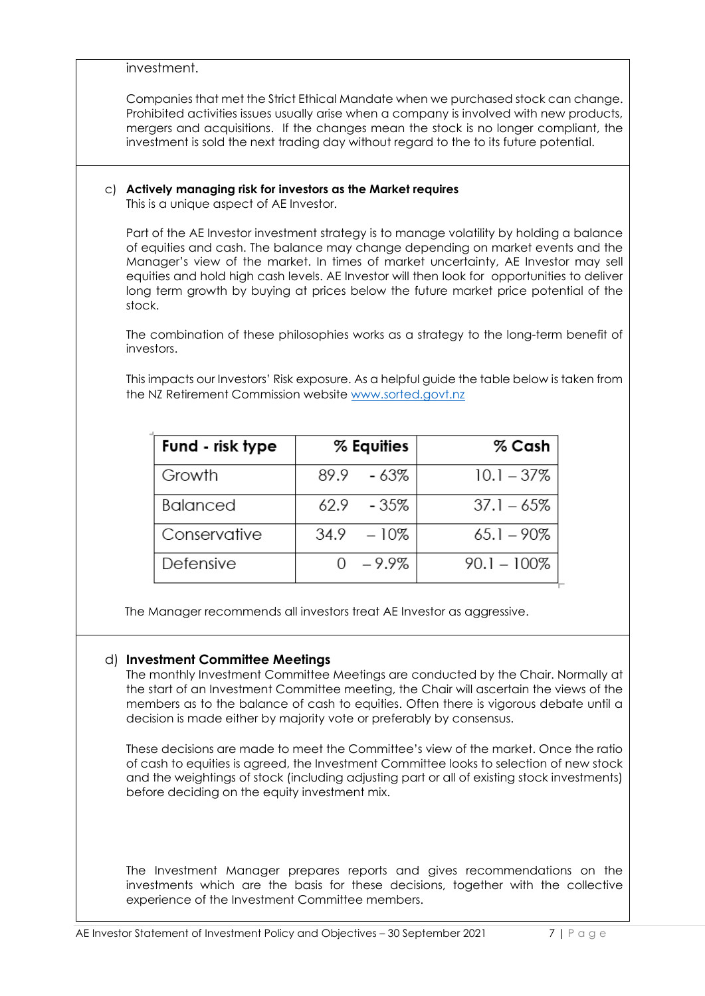|                                                                                                                                                                                                                                                                                                                                                                                                                                                                   | investment.                                                                                                                                                                                                                                                                                                                                                    |      |            |                |  |  |  |
|-------------------------------------------------------------------------------------------------------------------------------------------------------------------------------------------------------------------------------------------------------------------------------------------------------------------------------------------------------------------------------------------------------------------------------------------------------------------|----------------------------------------------------------------------------------------------------------------------------------------------------------------------------------------------------------------------------------------------------------------------------------------------------------------------------------------------------------------|------|------------|----------------|--|--|--|
|                                                                                                                                                                                                                                                                                                                                                                                                                                                                   | Companies that met the Strict Ethical Mandate when we purchased stock can change.<br>Prohibited activities issues usually arise when a company is involved with new products,<br>mergers and acquisitions. If the changes mean the stock is no longer compliant, the<br>investment is sold the next trading day without regard to the to its future potential. |      |            |                |  |  |  |
| C) Actively managing risk for investors as the Market requires<br>This is a unique aspect of AE Investor.                                                                                                                                                                                                                                                                                                                                                         |                                                                                                                                                                                                                                                                                                                                                                |      |            |                |  |  |  |
| Part of the AE Investor investment strategy is to manage volatility by holding a balance<br>of equities and cash. The balance may change depending on market events and the<br>Manager's view of the market. In times of market uncertainty, AE Investor may sell<br>equities and hold high cash levels. AE Investor will then look for opportunities to deliver<br>long term growth by buying at prices below the future market price potential of the<br>stock. |                                                                                                                                                                                                                                                                                                                                                                |      |            |                |  |  |  |
| investors.                                                                                                                                                                                                                                                                                                                                                                                                                                                        | The combination of these philosophies works as a strategy to the long-term benefit of                                                                                                                                                                                                                                                                          |      |            |                |  |  |  |
| This impacts our Investors' Risk exposure. As a helpful guide the table below is taken from<br>the NZ Retirement Commission website www.sorted.govt.nz                                                                                                                                                                                                                                                                                                            |                                                                                                                                                                                                                                                                                                                                                                |      |            |                |  |  |  |
|                                                                                                                                                                                                                                                                                                                                                                                                                                                                   |                                                                                                                                                                                                                                                                                                                                                                |      |            |                |  |  |  |
|                                                                                                                                                                                                                                                                                                                                                                                                                                                                   | Fund - risk type                                                                                                                                                                                                                                                                                                                                               |      | % Equities | % Cash         |  |  |  |
|                                                                                                                                                                                                                                                                                                                                                                                                                                                                   | Growth                                                                                                                                                                                                                                                                                                                                                         | 89.9 | - 63%      | $10.1 - 37\%$  |  |  |  |
|                                                                                                                                                                                                                                                                                                                                                                                                                                                                   | <b>Balanced</b>                                                                                                                                                                                                                                                                                                                                                | 62.9 | $-35%$     | $37.1 - 65%$   |  |  |  |
|                                                                                                                                                                                                                                                                                                                                                                                                                                                                   | Conservative                                                                                                                                                                                                                                                                                                                                                   | 34.9 | $-10%$     | $65.1 - 90\%$  |  |  |  |
|                                                                                                                                                                                                                                                                                                                                                                                                                                                                   | Defensive                                                                                                                                                                                                                                                                                                                                                      | 0    | $-9.9%$    | $90.1 - 100\%$ |  |  |  |
|                                                                                                                                                                                                                                                                                                                                                                                                                                                                   | The Manager recommends all investors treat AE Investor as aggressive.                                                                                                                                                                                                                                                                                          |      |            |                |  |  |  |

The Investment Manager prepares reports and gives recommendations on the investments which are the basis for these decisions, together with the collective experience of the Investment Committee members.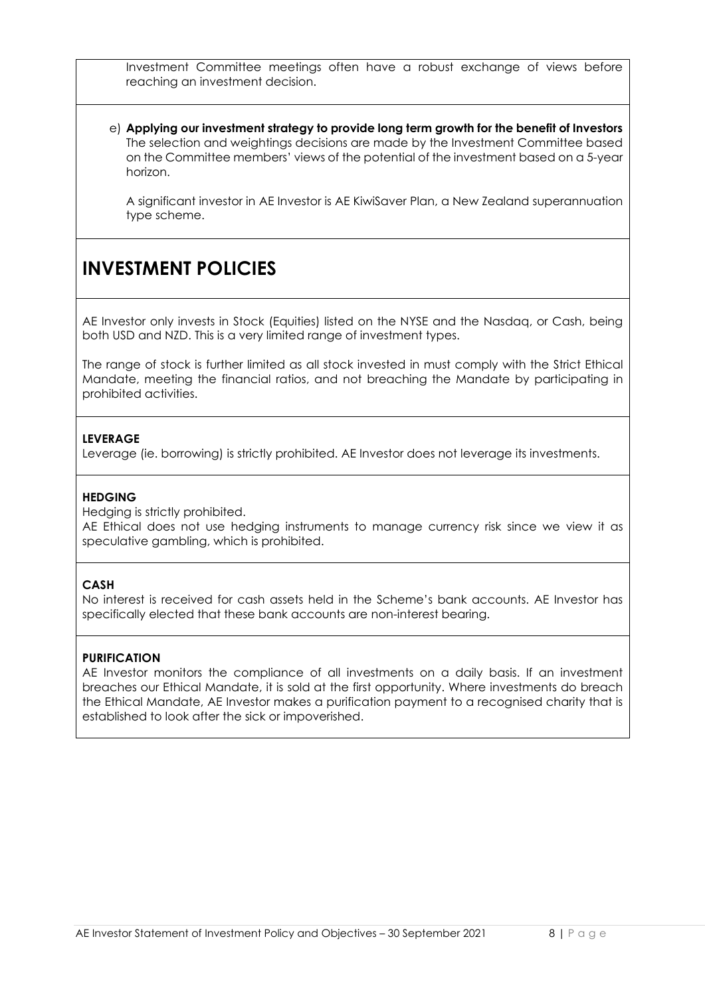Investment Committee meetings often have a robust exchange of views before reaching an investment decision.

e) **Applying our investment strategy to provide long term growth for the benefit of Investors**  The selection and weightings decisions are made by the Investment Committee based on the Committee members' views of the potential of the investment based on a 5-year horizon.

A significant investor in AE Investor is AE KiwiSaver Plan, a New Zealand superannuation type scheme.

### **INVESTMENT POLICIES**

AE Investor only invests in Stock (Equities) listed on the NYSE and the Nasdaq, or Cash, being both USD and NZD. This is a very limited range of investment types.

The range of stock is further limited as all stock invested in must comply with the Strict Ethical Mandate, meeting the financial ratios, and not breaching the Mandate by participating in prohibited activities.

#### **LEVERAGE**

Leverage (ie. borrowing) is strictly prohibited. AE Investor does not leverage its investments.

#### **HEDGING**

Hedging is strictly prohibited.

AE Ethical does not use hedging instruments to manage currency risk since we view it as speculative gambling, which is prohibited.

#### **CASH**

No interest is received for cash assets held in the Scheme's bank accounts. AE Investor has specifically elected that these bank accounts are non-interest bearing.

#### **PURIFICATION**

AE Investor monitors the compliance of all investments on a daily basis. If an investment breaches our Ethical Mandate, it is sold at the first opportunity. Where investments do breach the Ethical Mandate, AE Investor makes a purification payment to a recognised charity that is established to look after the sick or impoverished.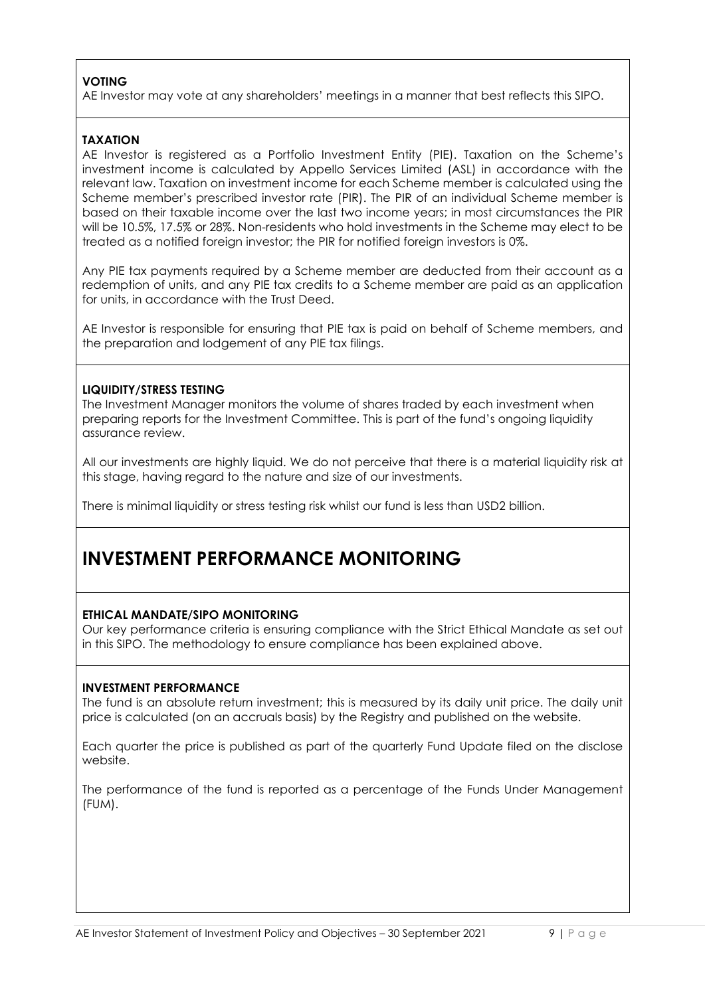#### **VOTING**

AE Investor may vote at any shareholders' meetings in a manner that best reflects this SIPO.

#### **TAXATION**

AE Investor is registered as a Portfolio Investment Entity (PIE). Taxation on the Scheme's investment income is calculated by Appello Services Limited (ASL) in accordance with the relevant law. Taxation on investment income for each Scheme member is calculated using the Scheme member's prescribed investor rate (PIR). The PIR of an individual Scheme member is based on their taxable income over the last two income years; in most circumstances the PIR will be 10.5%, 17.5% or 28%. Non-residents who hold investments in the Scheme may elect to be treated as a notified foreign investor; the PIR for notified foreign investors is 0%.

Any PIE tax payments required by a Scheme member are deducted from their account as a redemption of units, and any PIE tax credits to a Scheme member are paid as an application for units, in accordance with the Trust Deed.

AE Investor is responsible for ensuring that PIE tax is paid on behalf of Scheme members, and the preparation and lodgement of any PIE tax filings.

#### **LIQUIDITY/STRESS TESTING**

The Investment Manager monitors the volume of shares traded by each investment when preparing reports for the Investment Committee. This is part of the fund's ongoing liquidity assurance review.

All our investments are highly liquid. We do not perceive that there is a material liquidity risk at this stage, having regard to the nature and size of our investments.

There is minimal liquidity or stress testing risk whilst our fund is less than USD2 billion.

### **INVESTMENT PERFORMANCE MONITORING**

#### **ETHICAL MANDATE/SIPO MONITORING**

Our key performance criteria is ensuring compliance with the Strict Ethical Mandate as set out in this SIPO. The methodology to ensure compliance has been explained above.

#### **INVESTMENT PERFORMANCE**

The fund is an absolute return investment; this is measured by its daily unit price. The daily unit price is calculated (on an accruals basis) by the Registry and published on the website.

Each quarter the price is published as part of the quarterly Fund Update filed on the disclose website.

The performance of the fund is reported as a percentage of the Funds Under Management (FUM).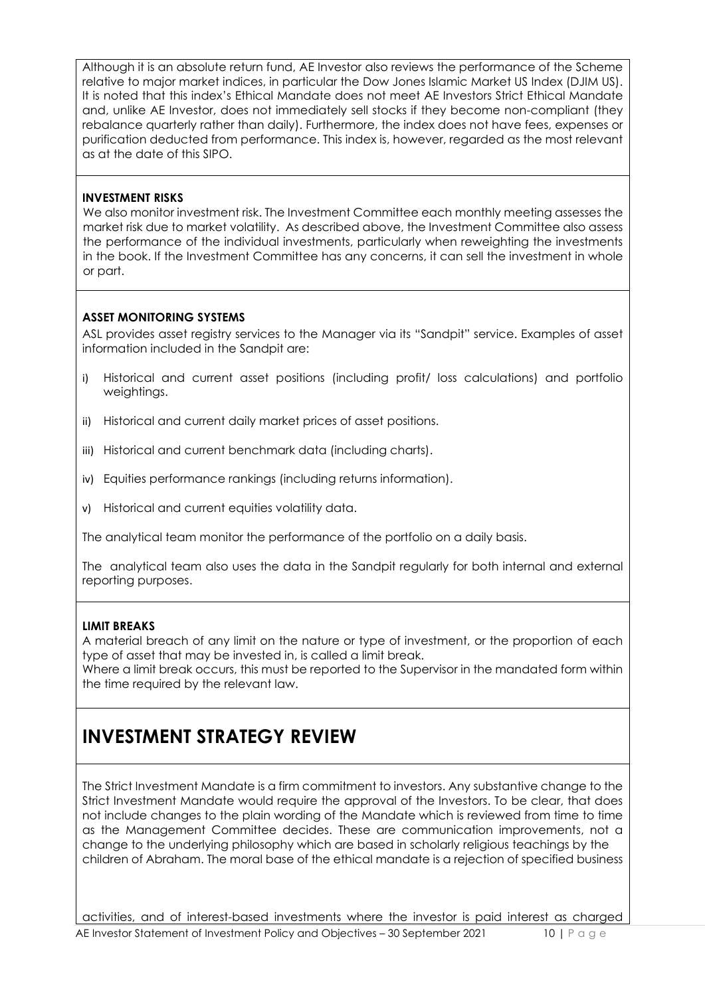Although it is an absolute return fund, AE Investor also reviews the performance of the Scheme relative to major market indices, in particular the Dow Jones Islamic Market US Index (DJIM US). It is noted that this index's Ethical Mandate does not meet AE Investors Strict Ethical Mandate and, unlike AE Investor, does not immediately sell stocks if they become non-compliant (they rebalance quarterly rather than daily). Furthermore, the index does not have fees, expenses or purification deducted from performance. This index is, however, regarded as the most relevant as at the date of this SIPO.

#### **INVESTMENT RISKS**

We also monitor investment risk. The Investment Committee each monthly meeting assesses the market risk due to market volatility. As described above, the Investment Committee also assess the performance of the individual investments, particularly when reweighting the investments in the book. If the Investment Committee has any concerns, it can sell the investment in whole or part.

#### **ASSET MONITORING SYSTEMS**

ASL provides asset registry services to the Manager via its "Sandpit" service. Examples of asset information included in the Sandpit are:

- i) Historical and current asset positions (including profit/ loss calculations) and portfolio weightings.
- ii) Historical and current daily market prices of asset positions.
- iii) Historical and current benchmark data (including charts).
- iv) Equities performance rankings (including returns information).
- v) Historical and current equities volatility data.

The analytical team monitor the performance of the portfolio on a daily basis.

The analytical team also uses the data in the Sandpit regularly for both internal and external reporting purposes.

#### **LIMIT BREAKS**

A material breach of any limit on the nature or type of investment, or the proportion of each type of asset that may be invested in, is called a limit break.

Where a limit break occurs, this must be reported to the Supervisor in the mandated form within the time required by the relevant law.

### **INVESTMENT STRATEGY REVIEW**

The Strict Investment Mandate is a firm commitment to investors. Any substantive change to the Strict Investment Mandate would require the approval of the Investors. To be clear, that does not include changes to the plain wording of the Mandate which is reviewed from time to time as the Management Committee decides. These are communication improvements, not a change to the underlying philosophy which are based in scholarly religious teachings by the children of Abraham. The moral base of the ethical mandate is a rejection of specified business

AE Investor Statement of Investment Policy and Objectives - 30 September 2021 10 | Page activities, and of interest-based investments where the investor is paid interest as charged